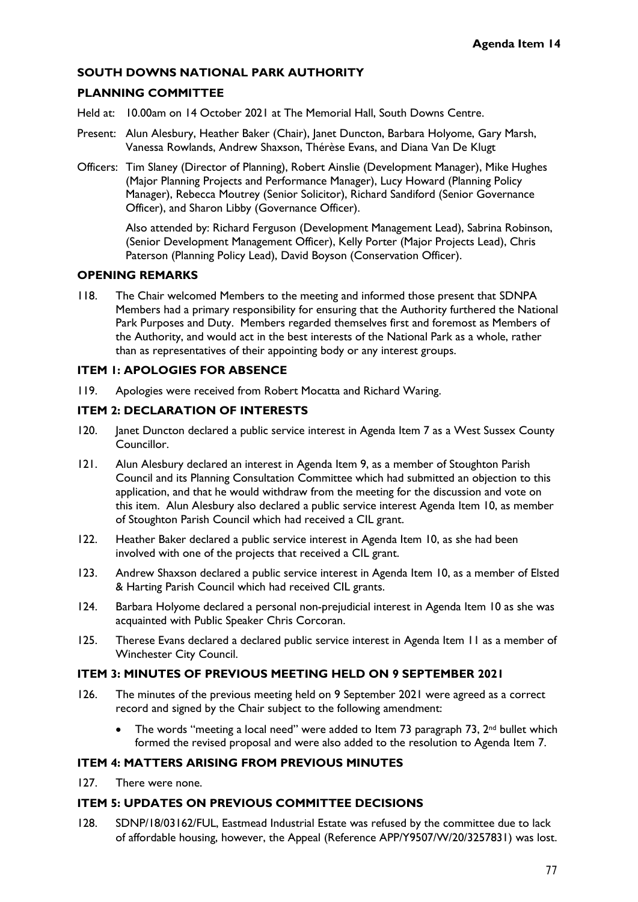### **SOUTH DOWNS NATIONAL PARK AUTHORITY**

### **PLANNING COMMITTEE**

- Held at: 10.00am on 14 October 2021 at The Memorial Hall, South Downs Centre.
- Present: Alun Alesbury, Heather Baker (Chair), Janet Duncton, Barbara Holyome, Gary Marsh, Vanessa Rowlands, Andrew Shaxson, Thérèse Evans, and Diana Van De Klugt
- Officers: Tim Slaney (Director of Planning), Robert Ainslie (Development Manager), Mike Hughes (Major Planning Projects and Performance Manager), Lucy Howard (Planning Policy Manager), Rebecca Moutrey (Senior Solicitor), Richard Sandiford (Senior Governance Officer), and Sharon Libby (Governance Officer).

Also attended by: Richard Ferguson (Development Management Lead), Sabrina Robinson, (Senior Development Management Officer), Kelly Porter (Major Projects Lead), Chris Paterson (Planning Policy Lead), David Boyson (Conservation Officer).

### **OPENING REMARKS**

118. The Chair welcomed Members to the meeting and informed those present that SDNPA Members had a primary responsibility for ensuring that the Authority furthered the National Park Purposes and Duty. Members regarded themselves first and foremost as Members of the Authority, and would act in the best interests of the National Park as a whole, rather than as representatives of their appointing body or any interest groups.

#### **ITEM 1: APOLOGIES FOR ABSENCE**

119. Apologies were received from Robert Mocatta and Richard Waring.

# **ITEM 2: DECLARATION OF INTERESTS**

- 120. Janet Duncton declared a public service interest in Agenda Item 7 as a West Sussex County Councillor.
- 121. Alun Alesbury declared an interest in Agenda Item 9, as a member of Stoughton Parish Council and its Planning Consultation Committee which had submitted an objection to this application, and that he would withdraw from the meeting for the discussion and vote on this item. Alun Alesbury also declared a public service interest Agenda Item 10, as member of Stoughton Parish Council which had received a CIL grant.
- 122. Heather Baker declared a public service interest in Agenda Item 10, as she had been involved with one of the projects that received a CIL grant.
- 123. Andrew Shaxson declared a public service interest in Agenda Item 10, as a member of Elsted & Harting Parish Council which had received CIL grants.
- 124. Barbara Holyome declared a personal non-prejudicial interest in Agenda Item 10 as she was acquainted with Public Speaker Chris Corcoran.
- 125. Therese Evans declared a declared public service interest in Agenda Item 11 as a member of Winchester City Council.

#### **ITEM 3: MINUTES OF PREVIOUS MEETING HELD ON 9 SEPTEMBER 2021**

- 126. The minutes of the previous meeting held on 9 September 2021 were agreed as a correct record and signed by the Chair subject to the following amendment:
	- The words "meeting a local need" were added to Item 73 paragraph 73, 2<sup>nd</sup> bullet which formed the revised proposal and were also added to the resolution to Agenda Item 7.

### **ITEM 4: MATTERS ARISING FROM PREVIOUS MINUTES**

127. There were none.

# **ITEM 5: UPDATES ON PREVIOUS COMMITTEE DECISIONS**

128. SDNP/18/03162/FUL, Eastmead Industrial Estate was refused by the committee due to lack of affordable housing, however, the Appeal (Reference APP/Y9507/W/20/3257831) was lost.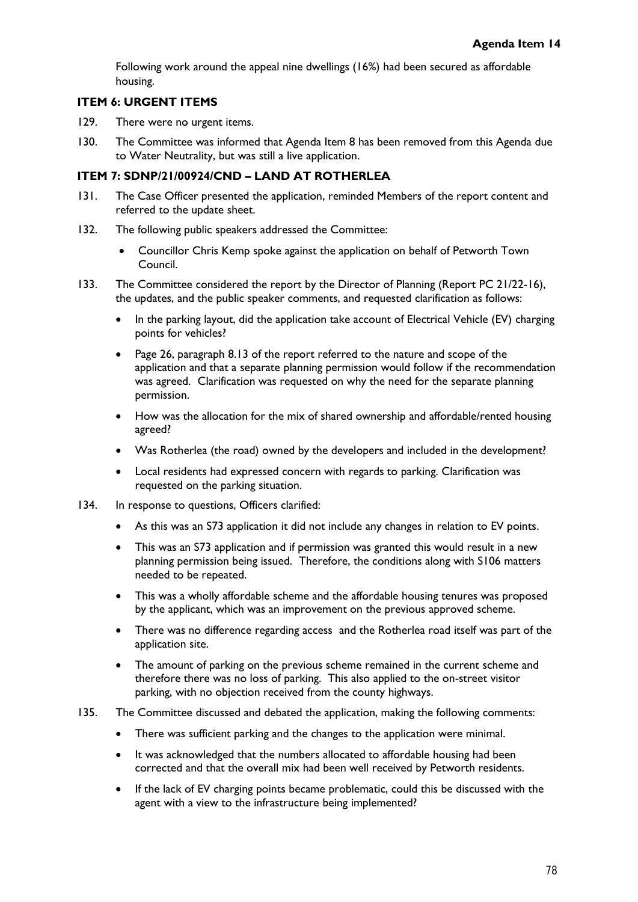Following work around the appeal nine dwellings (16%) had been secured as affordable housing.

### **ITEM 6: URGENT ITEMS**

- 129. There were no urgent items.
- 130. The Committee was informed that Agenda Item 8 has been removed from this Agenda due to Water Neutrality, but was still a live application.

#### **ITEM 7: SDNP/21/00924/CND – LAND AT ROTHERLEA**

- 131. The Case Officer presented the application, reminded Members of the report content and referred to the update sheet.
- 132. The following public speakers addressed the Committee:
	- Councillor Chris Kemp spoke against the application on behalf of Petworth Town Council.
- 133. The Committee considered the report by the Director of Planning (Report PC 21/22-16), the updates, and the public speaker comments, and requested clarification as follows:
	- In the parking layout, did the application take account of Electrical Vehicle (EV) charging points for vehicles?
	- Page 26, paragraph 8.13 of the report referred to the nature and scope of the application and that a separate planning permission would follow if the recommendation was agreed. Clarification was requested on why the need for the separate planning permission.
	- How was the allocation for the mix of shared ownership and affordable/rented housing agreed?
	- Was Rotherlea (the road) owned by the developers and included in the development?
	- Local residents had expressed concern with regards to parking. Clarification was requested on the parking situation.
- 134. In response to questions, Officers clarified:
	- As this was an S73 application it did not include any changes in relation to EV points.
	- This was an S73 application and if permission was granted this would result in a new planning permission being issued. Therefore, the conditions along with S106 matters needed to be repeated.
	- This was a wholly affordable scheme and the affordable housing tenures was proposed by the applicant, which was an improvement on the previous approved scheme.
	- There was no difference regarding access and the Rotherlea road itself was part of the application site.
	- The amount of parking on the previous scheme remained in the current scheme and therefore there was no loss of parking. This also applied to the on-street visitor parking, with no objection received from the county highways.
- 135. The Committee discussed and debated the application, making the following comments:
	- There was sufficient parking and the changes to the application were minimal.
	- It was acknowledged that the numbers allocated to affordable housing had been corrected and that the overall mix had been well received by Petworth residents.
	- If the lack of EV charging points became problematic, could this be discussed with the agent with a view to the infrastructure being implemented?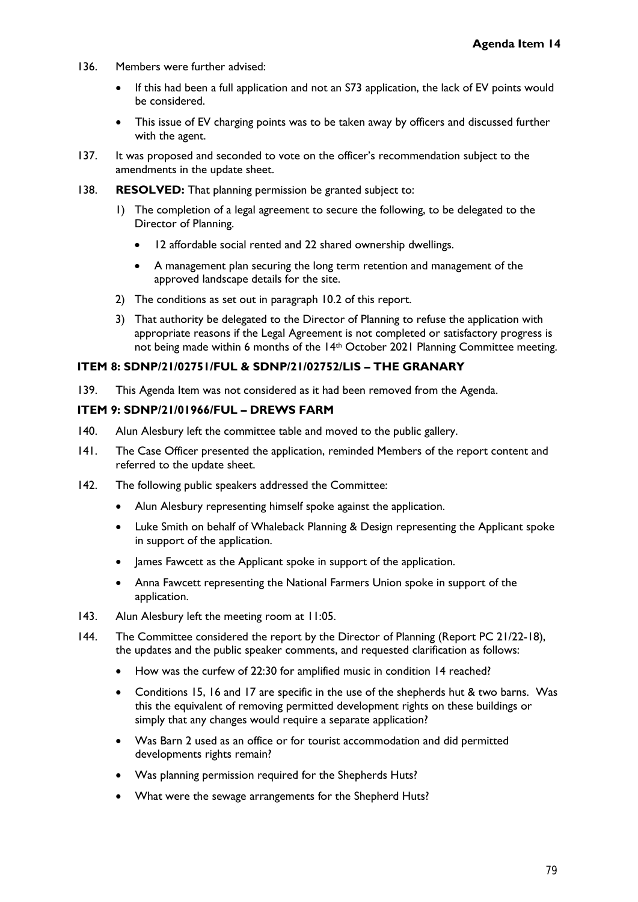- 136. Members were further advised:
	- If this had been a full application and not an S73 application, the lack of EV points would be considered.
	- This issue of EV charging points was to be taken away by officers and discussed further with the agent.
- 137. It was proposed and seconded to vote on the officer's recommendation subject to the amendments in the update sheet.
- 138. **RESOLVED:** That planning permission be granted subject to:
	- 1) The completion of a legal agreement to secure the following, to be delegated to the Director of Planning.
		- 12 affordable social rented and 22 shared ownership dwellings.
		- A management plan securing the long term retention and management of the approved landscape details for the site.
	- 2) The conditions as set out in paragraph 10.2 of this report.
	- 3) That authority be delegated to the Director of Planning to refuse the application with appropriate reasons if the Legal Agreement is not completed or satisfactory progress is not being made within 6 months of the 14th October 2021 Planning Committee meeting.

#### **ITEM 8: SDNP/21/02751/FUL & SDNP/21/02752/LIS – THE GRANARY**

139. This Agenda Item was not considered as it had been removed from the Agenda.

### **ITEM 9: SDNP/21/01966/FUL – DREWS FARM**

- 140. Alun Alesbury left the committee table and moved to the public gallery.
- 141. The Case Officer presented the application, reminded Members of the report content and referred to the update sheet.
- 142. The following public speakers addressed the Committee:
	- Alun Alesbury representing himself spoke against the application.
	- Luke Smith on behalf of Whaleback Planning & Design representing the Applicant spoke in support of the application.
	- James Fawcett as the Applicant spoke in support of the application.
	- Anna Fawcett representing the National Farmers Union spoke in support of the application.
- 143. Alun Alesbury left the meeting room at 11:05.
- 144. The Committee considered the report by the Director of Planning (Report PC 21/22-18), the updates and the public speaker comments, and requested clarification as follows:
	- How was the curfew of 22:30 for amplified music in condition 14 reached?
	- Conditions 15, 16 and 17 are specific in the use of the shepherds hut & two barns. Was this the equivalent of removing permitted development rights on these buildings or simply that any changes would require a separate application?
	- Was Barn 2 used as an office or for tourist accommodation and did permitted developments rights remain?
	- Was planning permission required for the Shepherds Huts?
	- What were the sewage arrangements for the Shepherd Huts?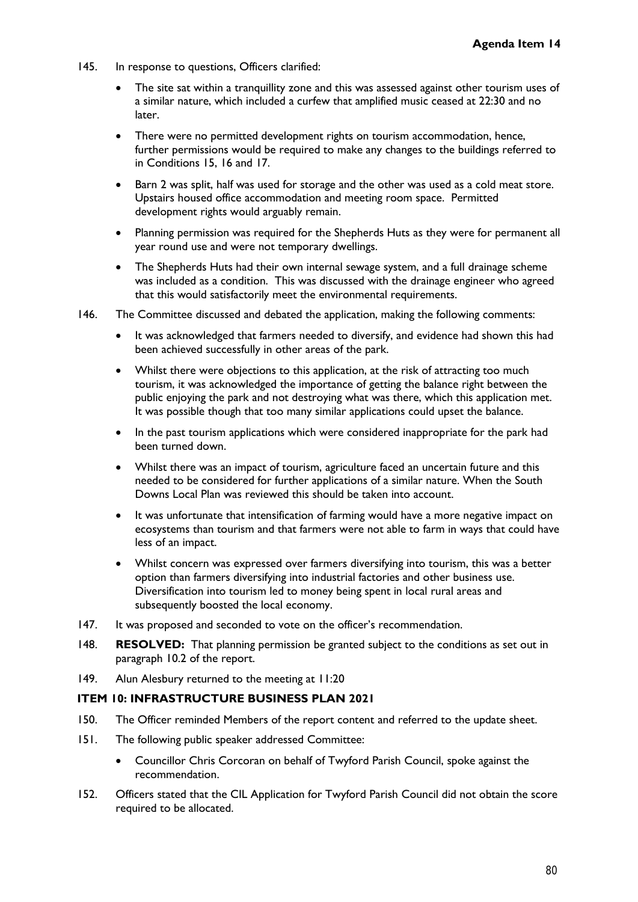- 145. In response to questions, Officers clarified:
	- The site sat within a tranquillity zone and this was assessed against other tourism uses of a similar nature, which included a curfew that amplified music ceased at 22:30 and no later.
	- There were no permitted development rights on tourism accommodation, hence, further permissions would be required to make any changes to the buildings referred to in Conditions 15, 16 and 17.
	- Barn 2 was split, half was used for storage and the other was used as a cold meat store. Upstairs housed office accommodation and meeting room space. Permitted development rights would arguably remain.
	- Planning permission was required for the Shepherds Huts as they were for permanent all year round use and were not temporary dwellings.
	- The Shepherds Huts had their own internal sewage system, and a full drainage scheme was included as a condition. This was discussed with the drainage engineer who agreed that this would satisfactorily meet the environmental requirements.
- 146. The Committee discussed and debated the application, making the following comments:
	- It was acknowledged that farmers needed to diversify, and evidence had shown this had been achieved successfully in other areas of the park.
	- Whilst there were objections to this application, at the risk of attracting too much tourism, it was acknowledged the importance of getting the balance right between the public enjoying the park and not destroying what was there, which this application met. It was possible though that too many similar applications could upset the balance.
	- In the past tourism applications which were considered inappropriate for the park had been turned down.
	- Whilst there was an impact of tourism, agriculture faced an uncertain future and this needed to be considered for further applications of a similar nature. When the South Downs Local Plan was reviewed this should be taken into account.
	- It was unfortunate that intensification of farming would have a more negative impact on ecosystems than tourism and that farmers were not able to farm in ways that could have less of an impact.
	- Whilst concern was expressed over farmers diversifying into tourism, this was a better option than farmers diversifying into industrial factories and other business use. Diversification into tourism led to money being spent in local rural areas and subsequently boosted the local economy.
- 147. It was proposed and seconded to vote on the officer's recommendation.
- 148. **RESOLVED:** That planning permission be granted subject to the conditions as set out in paragraph 10.2 of the report.
- 149. Alun Alesbury returned to the meeting at 11:20

# **ITEM 10: INFRASTRUCTURE BUSINESS PLAN 2021**

- 150. The Officer reminded Members of the report content and referred to the update sheet.
- 151. The following public speaker addressed Committee:
	- Councillor Chris Corcoran on behalf of Twyford Parish Council, spoke against the recommendation.
- 152. Officers stated that the CIL Application for Twyford Parish Council did not obtain the score required to be allocated.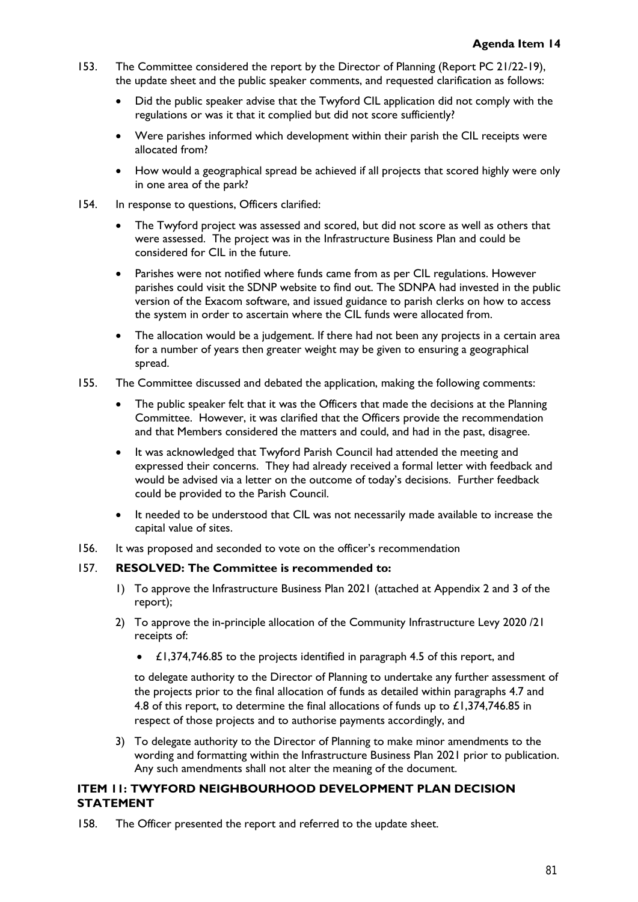- 153. The Committee considered the report by the Director of Planning (Report PC 21/22-19), the update sheet and the public speaker comments, and requested clarification as follows:
	- Did the public speaker advise that the Twyford CIL application did not comply with the regulations or was it that it complied but did not score sufficiently?
	- Were parishes informed which development within their parish the CIL receipts were allocated from?
	- How would a geographical spread be achieved if all projects that scored highly were only in one area of the park?
- 154. In response to questions, Officers clarified:
	- The Twyford project was assessed and scored, but did not score as well as others that were assessed. The project was in the Infrastructure Business Plan and could be considered for CIL in the future.
	- Parishes were not notified where funds came from as per CIL regulations. However parishes could visit the SDNP website to find out. The SDNPA had invested in the public version of the Exacom software, and issued guidance to parish clerks on how to access the system in order to ascertain where the CIL funds were allocated from.
	- The allocation would be a judgement. If there had not been any projects in a certain area for a number of years then greater weight may be given to ensuring a geographical spread.
- 155. The Committee discussed and debated the application, making the following comments:
	- The public speaker felt that it was the Officers that made the decisions at the Planning Committee. However, it was clarified that the Officers provide the recommendation and that Members considered the matters and could, and had in the past, disagree.
	- It was acknowledged that Twyford Parish Council had attended the meeting and expressed their concerns. They had already received a formal letter with feedback and would be advised via a letter on the outcome of today's decisions. Further feedback could be provided to the Parish Council.
	- It needed to be understood that CIL was not necessarily made available to increase the capital value of sites.
- 156. It was proposed and seconded to vote on the officer's recommendation

# 157. **RESOLVED: The Committee is recommended to:**

- 1) To approve the Infrastructure Business Plan 2021 (attached at Appendix 2 and 3 of the report);
- 2) To approve the in-principle allocation of the Community Infrastructure Levy 2020 /21 receipts of:
	- £1,374,746.85 to the projects identified in paragraph 4.5 of this report, and

to delegate authority to the Director of Planning to undertake any further assessment of the projects prior to the final allocation of funds as detailed within paragraphs 4.7 and 4.8 of this report, to determine the final allocations of funds up to  $\pounds$ 1,374,746.85 in respect of those projects and to authorise payments accordingly, and

3) To delegate authority to the Director of Planning to make minor amendments to the wording and formatting within the Infrastructure Business Plan 2021 prior to publication. Any such amendments shall not alter the meaning of the document.

# **ITEM 11: TWYFORD NEIGHBOURHOOD DEVELOPMENT PLAN DECISION STATEMENT**

158. The Officer presented the report and referred to the update sheet.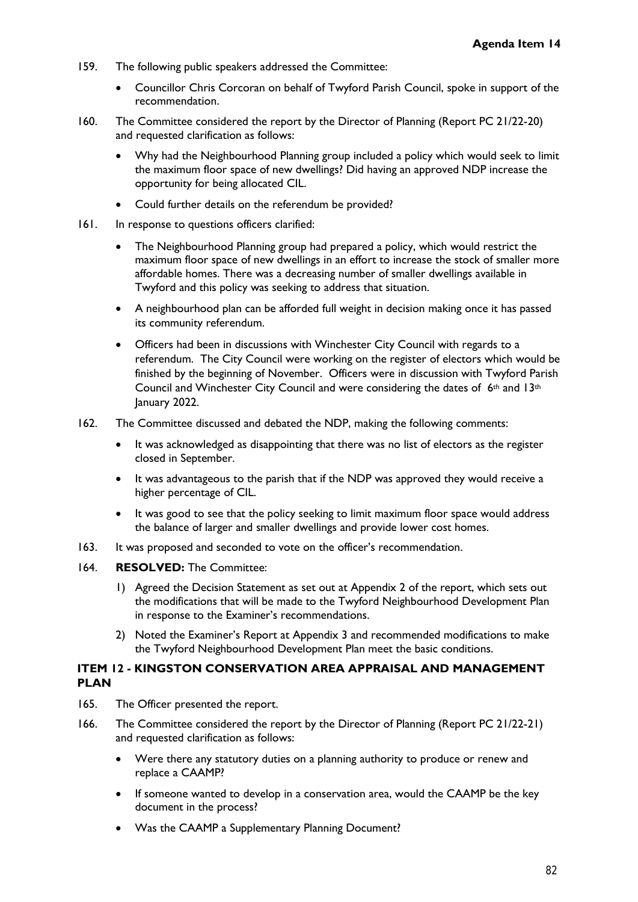- 159. The following public speakers addressed the Committee:
	- Councillor Chris Corcoran on behalf of Twyford Parish Council, spoke in support of the recommendation.
- 160. The Committee considered the report by the Director of Planning (Report PC 21/22-20) and requested clarification as follows:
	- Why had the Neighbourhood Planning group included a policy which would seek to limit the maximum floor space of new dwellings? Did having an approved NDP increase the opportunity for being allocated CIL.
	- Could further details on the referendum be provided?
- 161. In response to questions officers clarified:
	- The Neighbourhood Planning group had prepared a policy, which would restrict the maximum floor space of new dwellings in an effort to increase the stock of smaller more affordable homes. There was a decreasing number of smaller dwellings available in Twyford and this policy was seeking to address that situation.
	- A neighbourhood plan can be afforded full weight in decision making once it has passed its community referendum.
	- Officers had been in discussions with Winchester City Council with regards to a referendum. The City Council were working on the register of electors which would be finished by the beginning of November. Officers were in discussion with Twyford Parish Council and Winchester City Council and were considering the dates of  $6<sup>th</sup>$  and 13<sup>th</sup> January 2022.
- 162. The Committee discussed and debated the NDP, making the following comments:
	- It was acknowledged as disappointing that there was no list of electors as the register closed in September.
	- It was advantageous to the parish that if the NDP was approved they would receive a higher percentage of CIL.
	- It was good to see that the policy seeking to limit maximum floor space would address the balance of larger and smaller dwellings and provide lower cost homes.
- 163. It was proposed and seconded to vote on the officer's recommendation.
- 164. **RESOLVED:** The Committee:
	- 1) Agreed the Decision Statement as set out at Appendix 2 of the report, which sets out the modifications that will be made to the Twyford Neighbourhood Development Plan in response to the Examiner's recommendations.
	- 2) Noted the Examiner's Report at Appendix 3 and recommended modifications to make the Twyford Neighbourhood Development Plan meet the basic conditions.

# **ITEM 12 - KINGSTON CONSERVATION AREA APPRAISAL AND MANAGEMENT PLAN**

- 165. The Officer presented the report.
- 166. The Committee considered the report by the Director of Planning (Report PC 21/22-21) and requested clarification as follows:
	- Were there any statutory duties on a planning authority to produce or renew and replace a CAAMP?
	- If someone wanted to develop in a conservation area, would the CAAMP be the key document in the process?
	- Was the CAAMP a Supplementary Planning Document?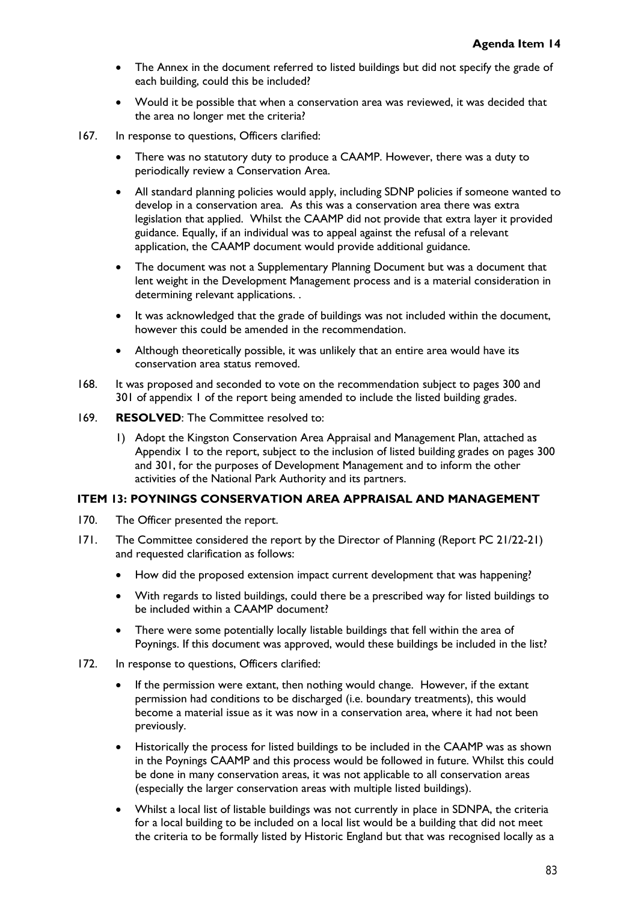- The Annex in the document referred to listed buildings but did not specify the grade of each building, could this be included?
- Would it be possible that when a conservation area was reviewed, it was decided that the area no longer met the criteria?
- 167. In response to questions, Officers clarified:
	- There was no statutory duty to produce a CAAMP. However, there was a duty to periodically review a Conservation Area.
	- All standard planning policies would apply, including SDNP policies if someone wanted to develop in a conservation area. As this was a conservation area there was extra legislation that applied. Whilst the CAAMP did not provide that extra layer it provided guidance. Equally, if an individual was to appeal against the refusal of a relevant application, the CAAMP document would provide additional guidance.
	- The document was not a Supplementary Planning Document but was a document that lent weight in the Development Management process and is a material consideration in determining relevant applications. .
	- It was acknowledged that the grade of buildings was not included within the document, however this could be amended in the recommendation.
	- Although theoretically possible, it was unlikely that an entire area would have its conservation area status removed.
- 168. It was proposed and seconded to vote on the recommendation subject to pages 300 and 301 of appendix 1 of the report being amended to include the listed building grades.
- 169. **RESOLVED**: The Committee resolved to:
	- 1) Adopt the Kingston Conservation Area Appraisal and Management Plan, attached as Appendix 1 to the report, subject to the inclusion of listed building grades on pages 300 and 301, for the purposes of Development Management and to inform the other activities of the National Park Authority and its partners.

# **ITEM 13: POYNINGS CONSERVATION AREA APPRAISAL AND MANAGEMENT**

- 170. The Officer presented the report.
- 171. The Committee considered the report by the Director of Planning (Report PC 21/22-21) and requested clarification as follows:
	- How did the proposed extension impact current development that was happening?
	- With regards to listed buildings, could there be a prescribed way for listed buildings to be included within a CAAMP document?
	- There were some potentially locally listable buildings that fell within the area of Poynings. If this document was approved, would these buildings be included in the list?
- 172. In response to questions, Officers clarified:
	- If the permission were extant, then nothing would change. However, if the extant permission had conditions to be discharged (i.e. boundary treatments), this would become a material issue as it was now in a conservation area, where it had not been previously.
	- Historically the process for listed buildings to be included in the CAAMP was as shown in the Poynings CAAMP and this process would be followed in future. Whilst this could be done in many conservation areas, it was not applicable to all conservation areas (especially the larger conservation areas with multiple listed buildings).
	- Whilst a local list of listable buildings was not currently in place in SDNPA, the criteria for a local building to be included on a local list would be a building that did not meet the criteria to be formally listed by Historic England but that was recognised locally as a